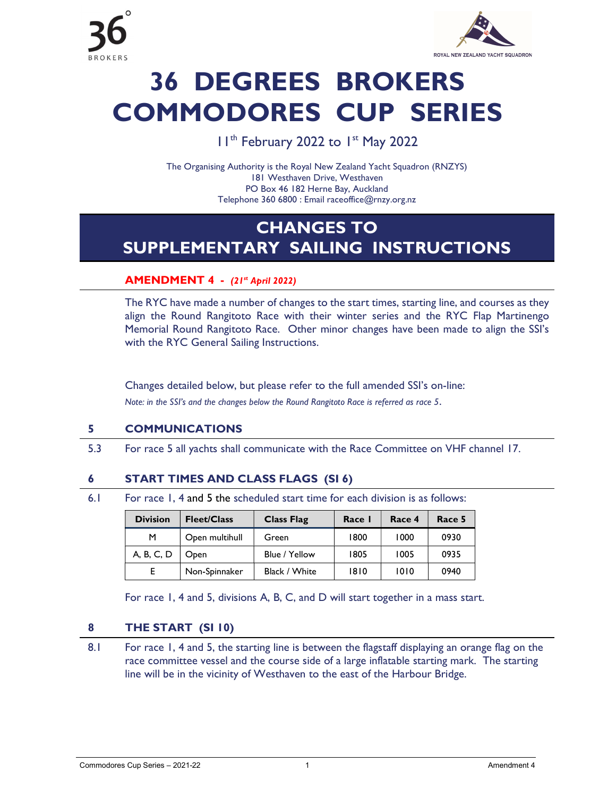

# 36 DEGREES BROKERS COMMODORES CUP SERIES

### I I<sup>th</sup> February 2022 to I<sup>st</sup> May 2022

The Organising Authority is the Royal New Zealand Yacht Squadron (RNZYS) 181 Westhaven Drive, Westhaven PO Box 46 182 Herne Bay, Auckland Telephone 360 6800 : Email raceoffice@rnzy.org.nz

## CHANGES TO SUPPLEMENTARY SAILING INSTRUCTIONS

#### AMENDMENT 4 - (21st April 2022)

 The RYC have made a number of changes to the start times, starting line, and courses as they align the Round Rangitoto Race with their winter series and the RYC Flap Martinengo Memorial Round Rangitoto Race. Other minor changes have been made to align the SSI's with the RYC General Sailing Instructions.

Changes detailed below, but please refer to the full amended SSI's on-line: Note: in the SSI's and the changes below the Round Rangitoto Race is referred as race 5.

#### 5 COMMUNICATIONS

5.3 For race 5 all yachts shall communicate with the Race Committee on VHF channel 17.

#### 6 START TIMES AND CLASS FLAGS (SI 6)

6.1 For race 1, 4 and 5 the scheduled start time for each division is as follows:

| <b>Division</b> | <b>Fleet/Class</b> | <b>Class Flag</b> | Race I | Race 4 | Race 5 |
|-----------------|--------------------|-------------------|--------|--------|--------|
| м               | Open multihull     | Green             | 1800   | 1000   | 0930   |
| A, B, C, D      | Open               | Blue / Yellow     | 1805   | 1005   | 0935   |
|                 | Non-Spinnaker      | Black / White     | 1810   | 1010   | 0940   |

For race 1, 4 and 5, divisions A, B, C, and D will start together in a mass start.

#### 8 THE START (SI 10)

8.1 For race 1, 4 and 5, the starting line is between the flagstaff displaying an orange flag on the race committee vessel and the course side of a large inflatable starting mark. The starting line will be in the vicinity of Westhaven to the east of the Harbour Bridge.